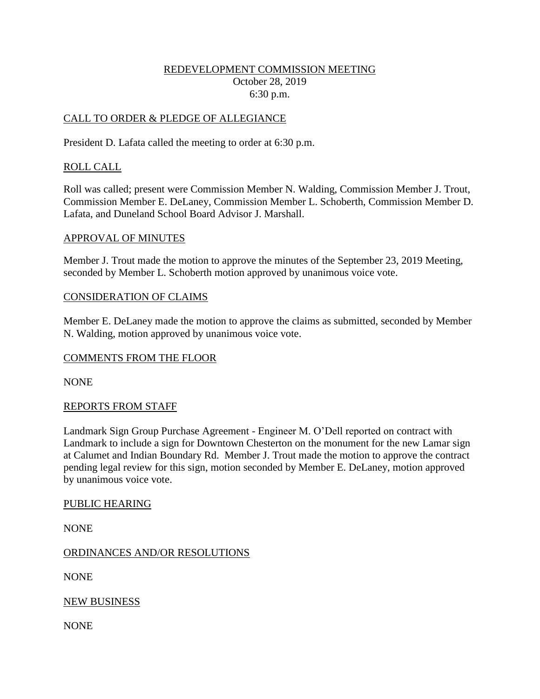### REDEVELOPMENT COMMISSION MEETING October 28, 2019 6:30 p.m.

### CALL TO ORDER & PLEDGE OF ALLEGIANCE

President D. Lafata called the meeting to order at 6:30 p.m.

### ROLL CALL

Roll was called; present were Commission Member N. Walding, Commission Member J. Trout, Commission Member E. DeLaney, Commission Member L. Schoberth, Commission Member D. Lafata, and Duneland School Board Advisor J. Marshall.

#### APPROVAL OF MINUTES

Member J. Trout made the motion to approve the minutes of the September 23, 2019 Meeting, seconded by Member L. Schoberth motion approved by unanimous voice vote.

#### CONSIDERATION OF CLAIMS

Member E. DeLaney made the motion to approve the claims as submitted, seconded by Member N. Walding, motion approved by unanimous voice vote.

### COMMENTS FROM THE FLOOR

NONE

### REPORTS FROM STAFF

Landmark Sign Group Purchase Agreement - Engineer M. O'Dell reported on contract with Landmark to include a sign for Downtown Chesterton on the monument for the new Lamar sign at Calumet and Indian Boundary Rd. Member J. Trout made the motion to approve the contract pending legal review for this sign, motion seconded by Member E. DeLaney, motion approved by unanimous voice vote.

#### PUBLIC HEARING

NONE

### ORDINANCES AND/OR RESOLUTIONS

NONE

NEW BUSINESS

NONE